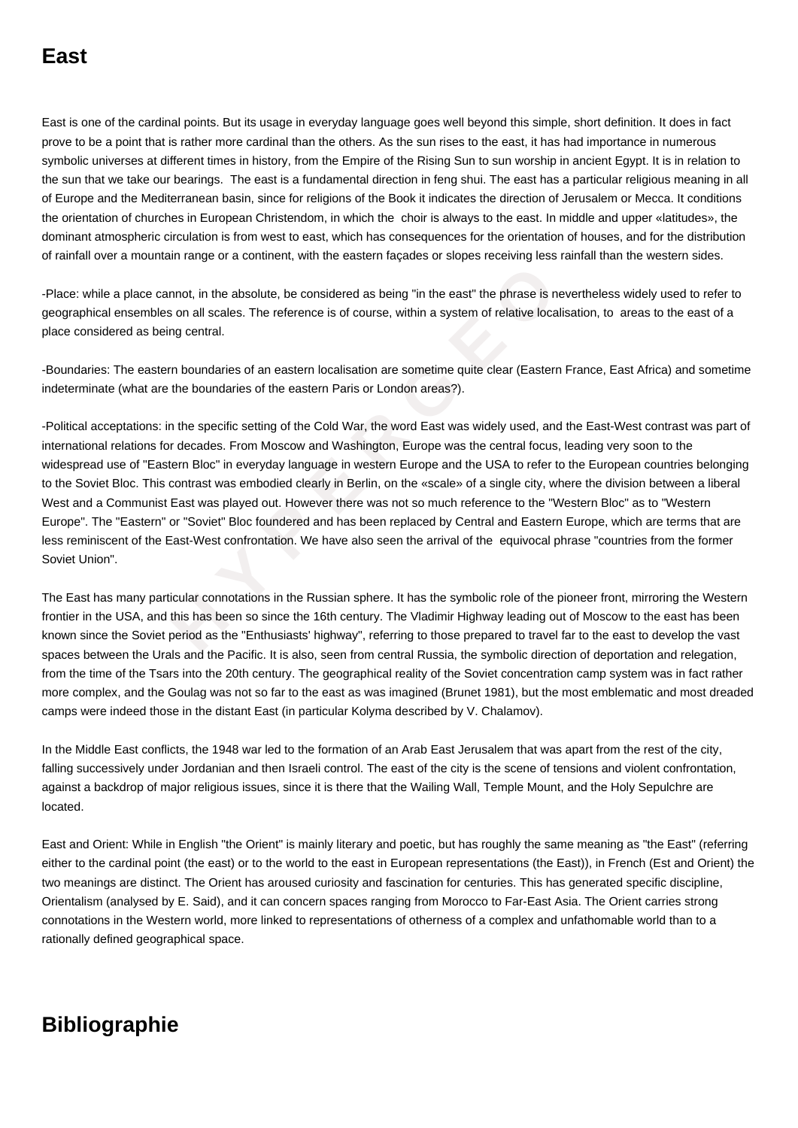East is one of the cardinal points. But its usage in everyday language goes well beyond this simple, short definition. It does in fact prove to be a point that is rather more cardinal than the others. As the sun rises to the east, it has had importance in numerous symbolic universes at different times in history, from the Empire of the Rising Sun to sun worship in ancient Egypt. It is in relation to the sun that we take our bearings. The east is a fundamental direction in feng shui. The east has a particular religious meaning in all of Europe and the Mediterranean basin, since for religions of the Book it indicates the direction of Jerusalem or Mecca. It conditions the orientation of churches in European Christendom, in which the choir is always to the east. In middle and upper «latitudes», the dominant atmospheric circulation is from west to east, which has consequences for the orientation of houses, and for the distribution of rainfall over a mountain range or a continent, with the eastern façades or slopes receiving less rainfall than the western sides.

-Place: while a place cannot, in the absolute, be considered as being "in the east" the phrase is nevertheless widely used to refer to geographical ensembles on all scales. The reference is of course, within a system of relative localisation, to areas to the east of a place considered as being central.

-Boundaries: The eastern boundaries of an eastern localisation are sometime quite clear (Eastern France, East Africa) and sometime indeterminate (what are the boundaries of the eastern Paris or London areas?).

ace cannot, in the absolute, be considered as being "in the east" the phrase is never<br>embles on all scales. The reference is of course, within a system of relative localisa<br>as being central.<br> **eastern boundaries of an east** -Political acceptations: in the specific setting of the Cold War, the word East was widely used, and the East-West contrast was part of international relations for decades. From Moscow and Washington, Europe was the central focus, leading very soon to the widespread use of "Eastern Bloc" in everyday language in western Europe and the USA to refer to the European countries belonging to the Soviet Bloc. This contrast was embodied clearly in Berlin, on the «scale» of a single city, where the division between a liberal West and a Communist East was played out. However there was not so much reference to the "Western Bloc" as to "Western Europe". The "Eastern" or "Soviet" Bloc foundered and has been replaced by Central and Eastern Europe, which are terms that are less reminiscent of the East-West confrontation. We have also seen the arrival of the equivocal phrase "countries from the former Soviet Union".

The East has many particular connotations in the Russian sphere. It has the symbolic role of the pioneer front, mirroring the Western frontier in the USA, and this has been so since the 16th century. The Vladimir Highway leading out of Moscow to the east has been known since the Soviet period as the "Enthusiasts' highway", referring to those prepared to travel far to the east to develop the vast spaces between the Urals and the Pacific. It is also, seen from central Russia, the symbolic direction of deportation and relegation, from the time of the Tsars into the 20th century. The geographical reality of the Soviet concentration camp system was in fact rather more complex, and the Goulag was not so far to the east as was imagined (Brunet 1981), but the most emblematic and most dreaded camps were indeed those in the distant East (in particular Kolyma described by V. Chalamov).

In the Middle East conflicts, the 1948 war led to the formation of an Arab East Jerusalem that was apart from the rest of the city, falling successively under Jordanian and then Israeli control. The east of the city is the scene of tensions and violent confrontation, against a backdrop of major religious issues, since it is there that the Wailing Wall, Temple Mount, and the Holy Sepulchre are located.

East and Orient: While in English "the Orient" is mainly literary and poetic, but has roughly the same meaning as "the East" (referring either to the cardinal point (the east) or to the world to the east in European representations (the East)), in French (Est and Orient) the two meanings are distinct. The Orient has aroused curiosity and fascination for centuries. This has generated specific discipline, Orientalism (analysed by E. Said), and it can concern spaces ranging from Morocco to Far-East Asia. The Orient carries strong connotations in the Western world, more linked to representations of otherness of a complex and unfathomable world than to a rationally defined geographical space.

## **Bibliographie**